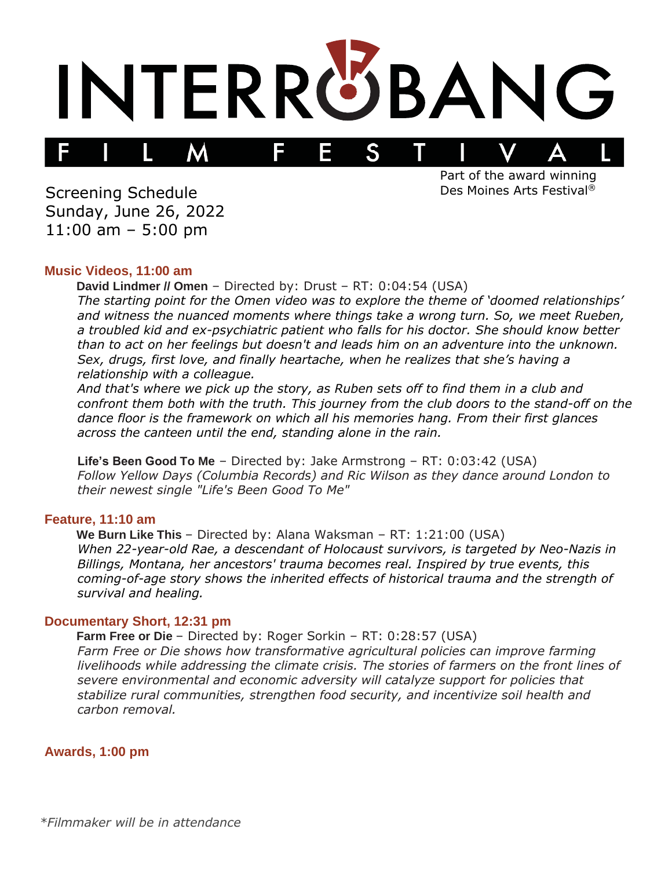

Screening Schedule Sunday, June 26, 2022 11:00 am – 5:00 pm

Part of the award winning Des Moines Arts Festival®

#### **Music Videos, 11:00 am**

**David Lindmer // Omen** – Directed by: Drust – RT: 0:04:54 (USA) *The starting point for the Omen video was to explore the theme of 'doomed relationships' and witness the nuanced moments where things take a wrong turn. So, we meet Rueben, a troubled kid and ex-psychiatric patient who falls for his doctor. She should know better than to act on her feelings but doesn't and leads him on an adventure into the unknown. Sex, drugs, first love, and finally heartache, when he realizes that she's having a relationship with a colleague.*

*And that's where we pick up the story, as Ruben sets off to find them in a club and confront them both with the truth. This journey from the club doors to the stand-off on the dance floor is the framework on which all his memories hang. From their first glances across the canteen until the end, standing alone in the rain.*

**Life's Been Good To Me** – Directed by: Jake Armstrong – RT: 0:03:42 (USA) *Follow Yellow Days (Columbia Records) and Ric Wilson as they dance around London to their newest single "Life's Been Good To Me"*

## **Feature, 11:10 am**

**We Burn Like This** – Directed by: Alana Waksman – RT: 1:21:00 (USA) *When 22-year-old Rae, a descendant of Holocaust survivors, is targeted by Neo-Nazis in Billings, Montana, her ancestors' trauma becomes real. Inspired by true events, this coming-of-age story shows the inherited effects of historical trauma and the strength of survival and healing.*

#### **Documentary Short, 12:31 pm**

**Farm Free or Die** – Directed by: Roger Sorkin – RT: 0:28:57 (USA) *Farm Free or Die shows how transformative agricultural policies can improve farming livelihoods while addressing the climate crisis. The stories of farmers on the front lines of severe environmental and economic adversity will catalyze support for policies that stabilize rural communities, strengthen food security, and incentivize soil health and carbon removal.*

**Awards, 1:00 pm**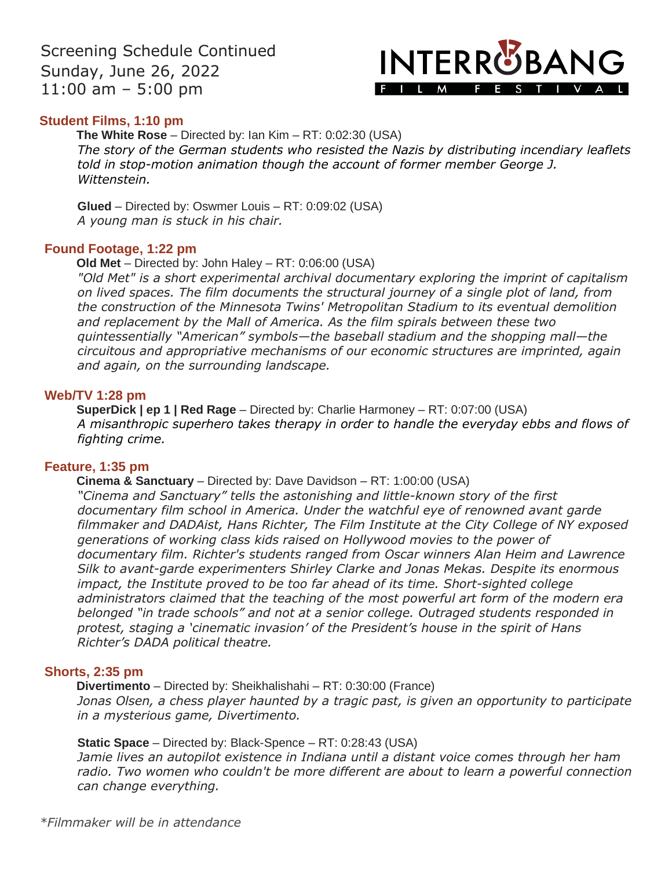Screening Schedule Continued Sunday, June 26, 2022 11:00 am – 5:00 pm

# **INTERRUBANG** FILM FESTIVAL

## **Student Films, 1:10 pm**

**The White Rose** – Directed by: Ian Kim – RT: 0:02:30 (USA) *The story of the German students who resisted the Nazis by distributing incendiary leaflets told in stop-motion animation though the account of former member George J. Wittenstein.*

**Glued** – Directed by: Oswmer Louis – RT: 0:09:02 (USA) *A young man is stuck in his chair.*

### **Found Footage, 1:22 pm**

**Old Met** – Directed by: John Haley – RT: 0:06:00 (USA)

*"Old Met" is a short experimental archival documentary exploring the imprint of capitalism on lived spaces. The film documents the structural journey of a single plot of land, from the construction of the Minnesota Twins' Metropolitan Stadium to its eventual demolition and replacement by the Mall of America. As the film spirals between these two quintessentially "American" symbols—the baseball stadium and the shopping mall—the circuitous and appropriative mechanisms of our economic structures are imprinted, again and again, on the surrounding landscape.*

### **Web/TV 1:28 pm**

**SuperDick | ep 1 | Red Rage** – Directed by: Charlie Harmoney – RT: 0:07:00 (USA) *A misanthropic superhero takes therapy in order to handle the everyday ebbs and flows of fighting crime.*

### **Feature, 1:35 pm**

#### **Cinema & Sanctuary** – Directed by: Dave Davidson – RT: 1:00:00 (USA)

*"Cinema and Sanctuary" tells the astonishing and little-known story of the first documentary film school in America. Under the watchful eye of renowned avant garde filmmaker and DADAist, Hans Richter, The Film Institute at the City College of NY exposed generations of working class kids raised on Hollywood movies to the power of documentary film. Richter's students ranged from Oscar winners Alan Heim and Lawrence Silk to avant-garde experimenters Shirley Clarke and Jonas Mekas. Despite its enormous impact, the Institute proved to be too far ahead of its time. Short-sighted college administrators claimed that the teaching of the most powerful art form of the modern era belonged "in trade schools" and not at a senior college. Outraged students responded in protest, staging a 'cinematic invasion' of the President's house in the spirit of Hans Richter's DADA political theatre.*

### **Shorts, 2:35 pm**

**Divertimento** – Directed by: Sheikhalishahi – RT: 0:30:00 (France) *Jonas Olsen, a chess player haunted by a tragic past, is given an opportunity to participate in a mysterious game, Divertimento.*

**Static Space** – Directed by: Black-Spence – RT: 0:28:43 (USA)

*Jamie lives an autopilot existence in Indiana until a distant voice comes through her ham radio. Two women who couldn't be more different are about to learn a powerful connection can change everything.*